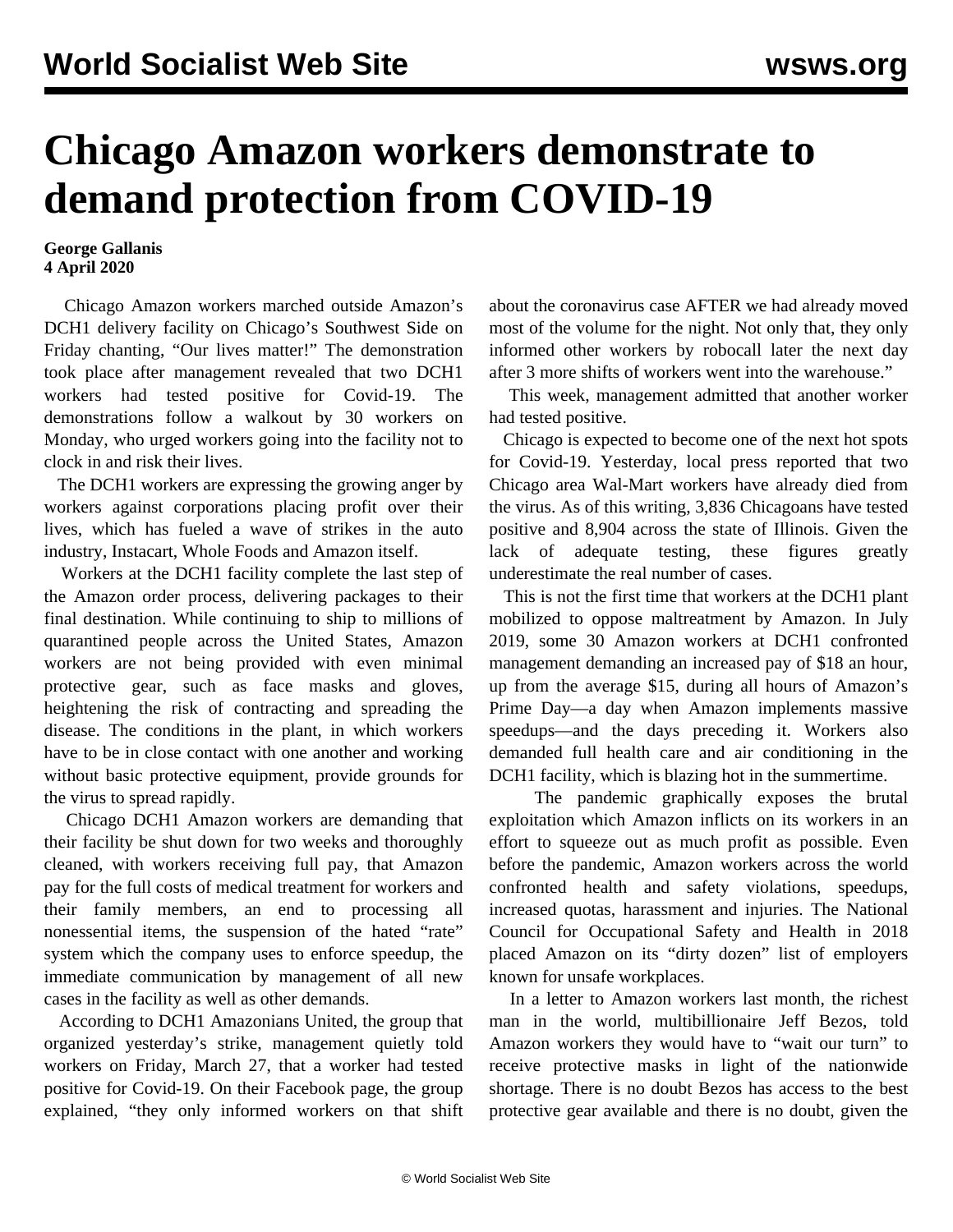## **Chicago Amazon workers demonstrate to demand protection from COVID-19**

## **George Gallanis 4 April 2020**

 Chicago Amazon workers marched outside Amazon's DCH1 delivery facility on Chicago's Southwest Side on Friday chanting, "Our lives matter!" The demonstration took place after management revealed that two DCH1 workers had tested positive for Covid-19. The demonstrations follow a walkout by 30 workers on Monday, who urged workers going into the facility not to clock in and risk their lives.

 The DCH1 workers are expressing the growing anger by workers against corporations placing profit over their lives, which has fueled a wave of strikes in the auto industry, Instacart, Whole Foods and Amazon itself.

 Workers at the DCH1 facility complete the last step of the Amazon order process, delivering packages to their final destination. While continuing to ship to millions of quarantined people across the United States, Amazon workers are not being provided with even minimal protective gear, such as face masks and gloves, heightening the risk of contracting and spreading the disease. The conditions in the plant, in which workers have to be in close contact with one another and working without basic protective equipment, provide grounds for the virus to spread rapidly.

 Chicago DCH1 Amazon workers are demanding that their facility be shut down for two weeks and thoroughly cleaned, with workers receiving full pay, that Amazon pay for the full costs of medical treatment for workers and their family members, an end to processing all nonessential items, the suspension of the hated "rate" system which the company uses to enforce speedup, the immediate communication by management of all new cases in the facility as well as other demands.

 According to DCH1 Amazonians United, the group that organized yesterday's strike, management quietly told workers on Friday, March 27, that a worker had tested positive for Covid-19. On their Facebook page, the group explained, "they only informed workers on that shift

about the coronavirus case AFTER we had already moved most of the volume for the night. Not only that, they only informed other workers by robocall later the next day after 3 more shifts of workers went into the warehouse."

 This week, management admitted that another worker had tested positive.

 Chicago is expected to become one of the next hot spots for Covid-19. Yesterday, local press reported that two Chicago area Wal-Mart workers have already died from the virus. As of this writing, 3,836 Chicagoans have tested positive and 8,904 across the state of Illinois. Given the lack of adequate testing, these figures greatly underestimate the real number of cases.

 This is not the first time that workers at the DCH1 plant mobilized to oppose maltreatment by Amazon. In July 2019, some 30 Amazon workers at DCH1 [confronted](/en/articles/2019/07/25/amaz-j25.html) [management](/en/articles/2019/07/25/amaz-j25.html) demanding an increased pay of \$18 an hour, up from the average \$15, during all hours of Amazon's Prime Day—a day when Amazon implements massive speedups—and the days preceding it. Workers also demanded full health care and air conditioning in the DCH1 facility, which is blazing hot in the summertime.

 The pandemic graphically exposes the brutal exploitation which Amazon inflicts on its workers in an effort to squeeze out as much profit as possible. Even before the pandemic, Amazon workers across the world confronted health and safety violations, speedups, increased quotas, harassment and injuries. The National Council for Occupational Safety and Health in 2018 placed Amazon on its "dirty dozen" list of employers known for unsafe workplaces.

 In a letter to Amazon workers last month, the richest man in the world, multibillionaire Jeff Bezos, told Amazon workers they would have to "wait our turn" to receive protective masks in light of the nationwide shortage. There is no doubt Bezos has access to the best protective gear available and there is no doubt, given the